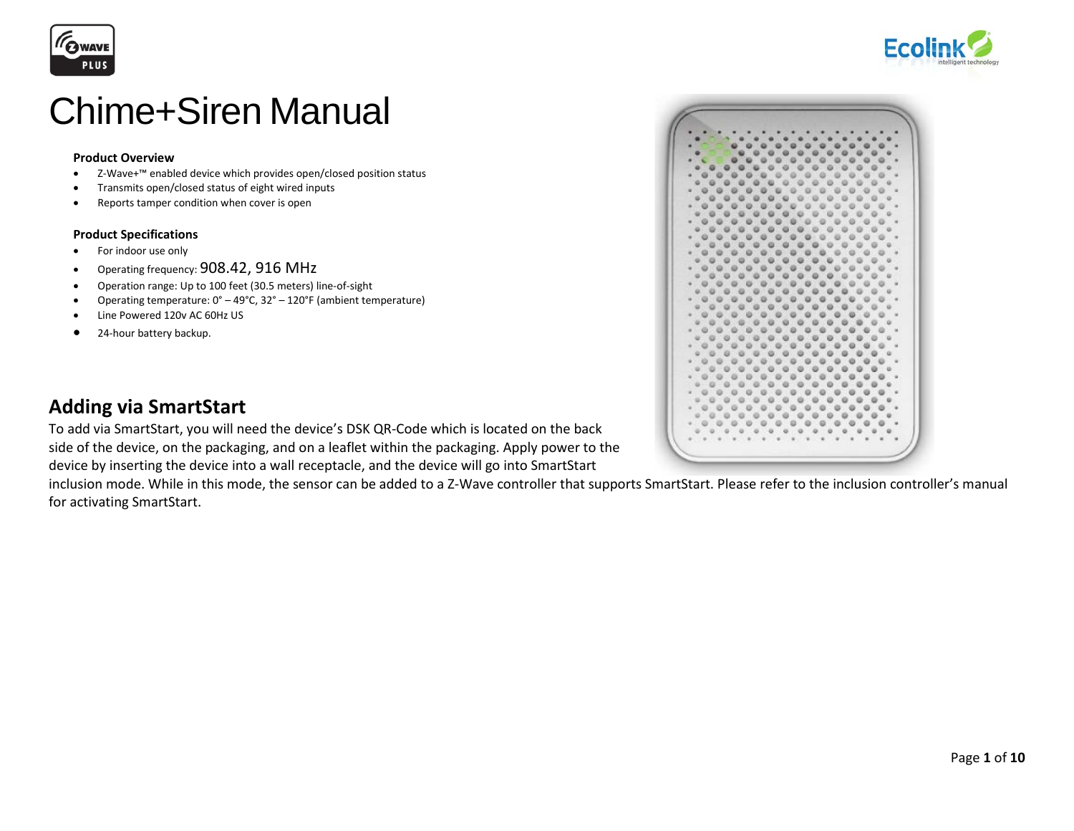



# Chime+Siren Manual

#### **Product Overview**

- Z-Wave+™ enabled device which provides open/closed position status
- Transmits open/closed status of eight wired inputs
- Reports tamper condition when cover is open

#### **Product Specifications**

- For indoor use only
- Operating frequency: 908.42, 916 MHz
- Operation range: Up to 100 feet (30.5 meters) line-of-sight
- Operating temperature: 0° 49°C, 32° 120°F (ambient temperature)
- Line Powered 120v AC 60Hz US
- 24-hour battery backup.



### **Adding via SmartStart**

To add via SmartStart, you will need the device's DSK QR-Code which is located on the back side of the device, on the packaging, and on a leaflet within the packaging. Apply power to the device by inserting the device into a wall receptacle, and the device will go into SmartStart

inclusion mode. While in this mode, the sensor can be added to a Z-Wave controller that supports SmartStart. Please refer to the inclusion controller's manual for activating SmartStart.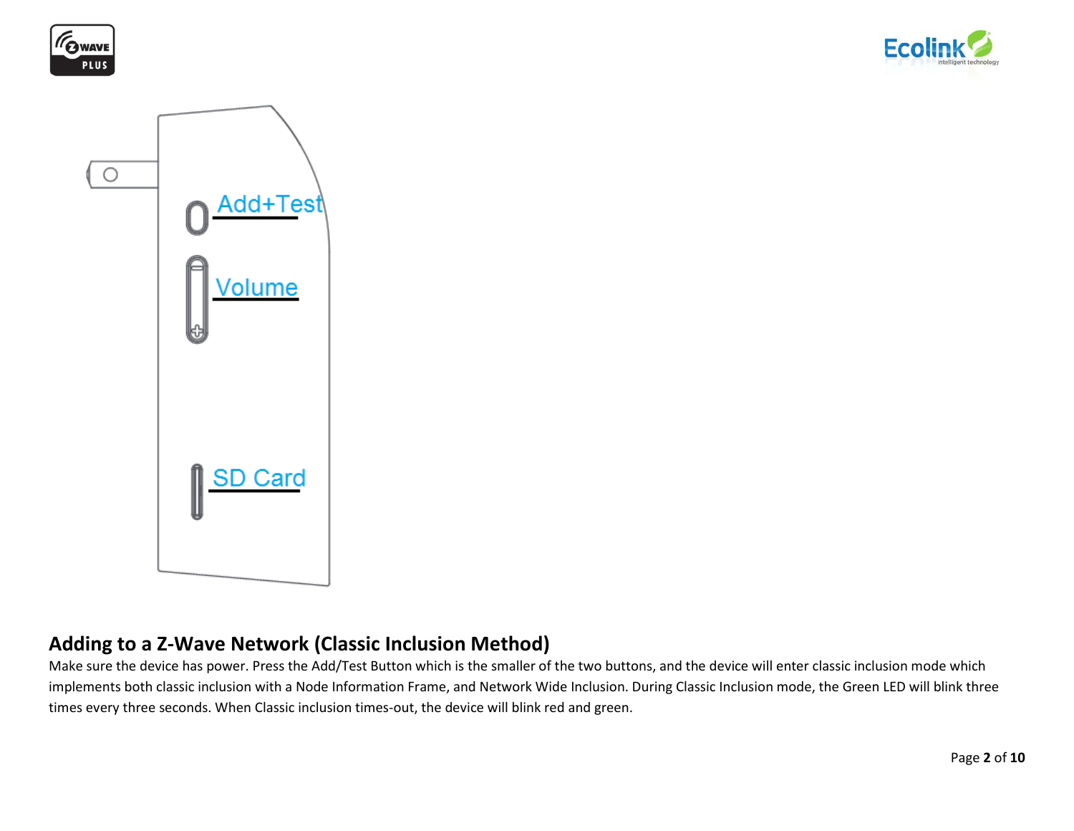





### **Adding to a Z-Wave Network (Classic Inclusion Method)**

Make sure the device has power. Press the Add/Test Button which is the smaller of the two buttons, and the device will enter classic inclusion mode which implements both classic inclusion with a Node Information Frame, and Network Wide Inclusion. During Classic Inclusion mode, the Green LED will blink three times every three seconds. When Classic inclusion times-out, the device will blink red and green.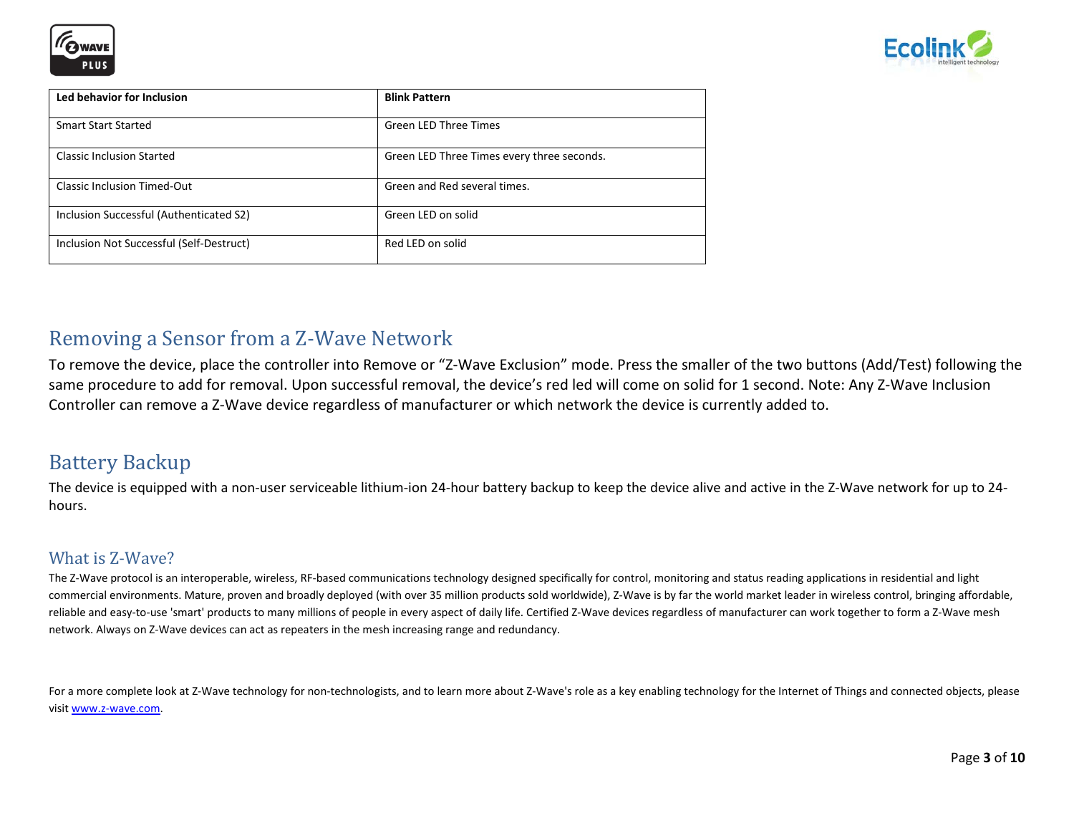



| Led behavior for Inclusion               | <b>Blink Pattern</b>                       |
|------------------------------------------|--------------------------------------------|
| <b>Smart Start Started</b>               | <b>Green LED Three Times</b>               |
| <b>Classic Inclusion Started</b>         | Green LED Three Times every three seconds. |
| <b>Classic Inclusion Timed-Out</b>       | Green and Red several times.               |
| Inclusion Successful (Authenticated S2)  | Green LED on solid                         |
| Inclusion Not Successful (Self-Destruct) | Red LED on solid                           |

### Removing a Sensor from a Z-Wave Network

To remove the device, place the controller into Remove or "Z-Wave Exclusion" mode. Press the smaller of the two buttons (Add/Test) following the same procedure to add for removal. Upon successful removal, the device's red led will come on solid for 1 second. Note: Any Z-Wave Inclusion Controller can remove a Z-Wave device regardless of manufacturer or which network the device is currently added to.

### Battery Backup

The device is equipped with a non-user serviceable lithium-ion 24-hour battery backup to keep the device alive and active in the Z-Wave network for up to 24 hours.

### What is Z-Wave?

The Z-Wave protocol is an interoperable, wireless, RF-based communications technology designed specifically for control, monitoring and status reading applications in residential and light commercial environments. Mature, proven and broadly deployed (with over 35 million products sold worldwide), Z-Wave is by far the world market leader in wireless control, bringing affordable, reliable and easy-to-use 'smart' products to many millions of people in every aspect of daily life. Certified Z-Wave devices regardless of manufacturer can work together to form a Z-Wave mesh network. Always on Z-Wave devices can act as repeaters in the mesh increasing range and redundancy.

For a more complete look at Z-Wave technology for non-technologists, and to learn more about Z-Wave's role as a key enabling technology for the Internet of Things and connected objects, please visit [www.z-wave.com.](http://www.z-wave.com/)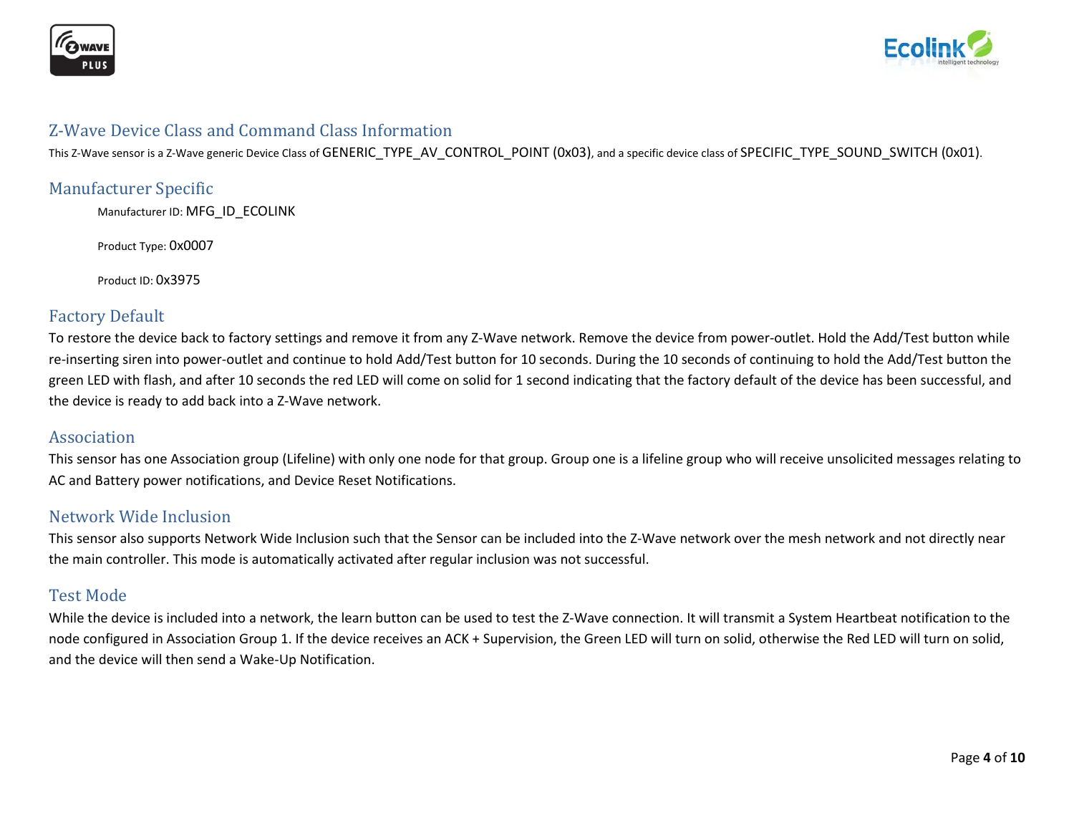



### Z-Wave Device Class and Command Class Information

This Z-Wave sensor is a Z-Wave generic Device Class of GENERIC\_TYPE\_AV\_CONTROL\_POINT (0x03), and a specific device class of SPECIFIC\_TYPE\_SOUND\_SWITCH (0x01).

### Manufacturer Specific

Manufacturer ID: MFG\_ID\_ECOLINK

Product Type: 0x0007

Product ID: 0x3975

### Factory Default

To restore the device back to factory settings and remove it from any Z-Wave network. Remove the device from power-outlet. Hold the Add/Test button while re-inserting siren into power-outlet and continue to hold Add/Test button for 10 seconds. During the 10 seconds of continuing to hold the Add/Test button the green LED with flash, and after 10 seconds the red LED will come on solid for 1 second indicating that the factory default of the device has been successful, and the device is ready to add back into a Z-Wave network.

#### Association

This sensor has one Association group (Lifeline) with only one node for that group. Group one is a lifeline group who will receive unsolicited messages relating to AC and Battery power notifications, and Device Reset Notifications.

### Network Wide Inclusion

This sensor also supports Network Wide Inclusion such that the Sensor can be included into the Z-Wave network over the mesh network and not directly near the main controller. This mode is automatically activated after regular inclusion was not successful.

### Test Mode

While the device is included into a network, the learn button can be used to test the Z-Wave connection. It will transmit a System Heartbeat notification to the node configured in Association Group 1. If the device receives an ACK + Supervision, the Green LED will turn on solid, otherwise the Red LED will turn on solid, and the device will then send a Wake-Up Notification.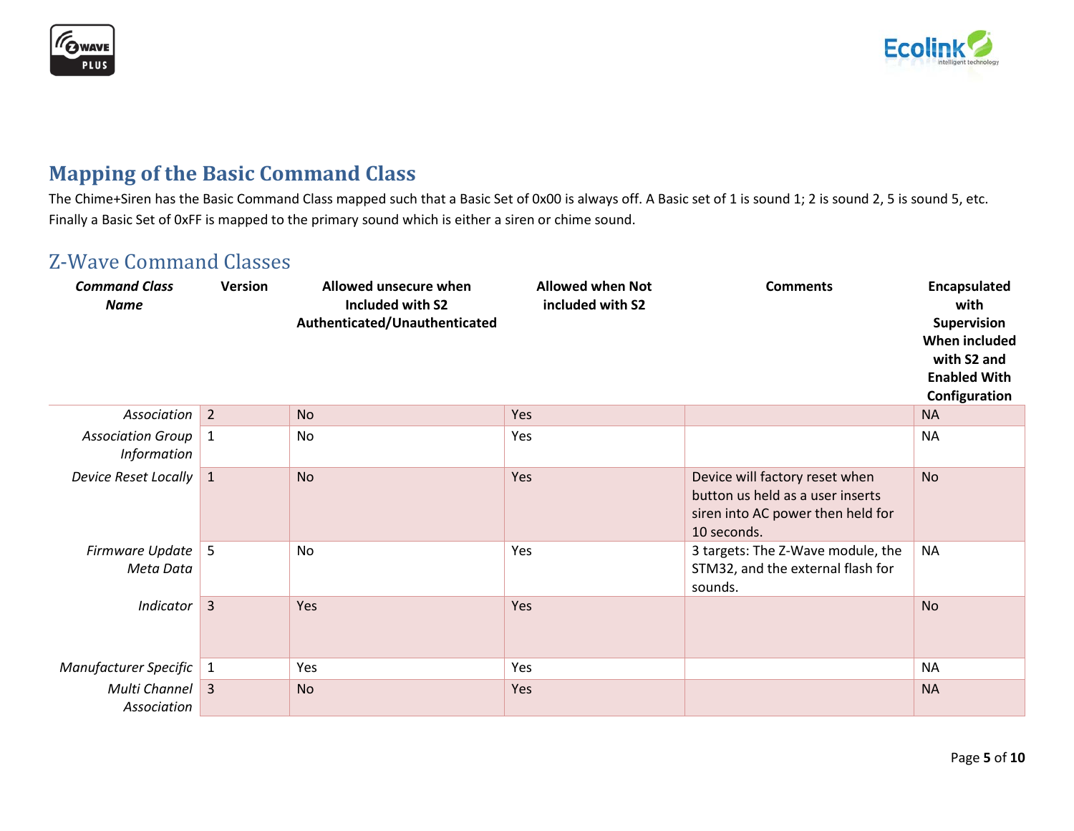



# **Mapping of the Basic Command Class**

The Chime+Siren has the Basic Command Class mapped such that a Basic Set of 0x00 is always off. A Basic set of 1 is sound 1; 2 is sound 2, 5 is sound 5, etc. Finally a Basic Set of 0xFF is mapped to the primary sound which is either a siren or chime sound.

## Z-Wave Command Classes

| <b>Command Class</b><br><b>Name</b>            | <b>Version</b> | Allowed unsecure when<br>Included with S2<br>Authenticated/Unauthenticated | <b>Allowed when Not</b><br>included with S2 | <b>Comments</b>                                                                                                        | Encapsulated<br>with<br>Supervision<br>When included<br>with S2 and<br><b>Enabled With</b><br>Configuration |
|------------------------------------------------|----------------|----------------------------------------------------------------------------|---------------------------------------------|------------------------------------------------------------------------------------------------------------------------|-------------------------------------------------------------------------------------------------------------|
| Association                                    | $\overline{2}$ | <b>No</b>                                                                  | Yes                                         |                                                                                                                        | <b>NA</b>                                                                                                   |
| <b>Association Group</b><br><b>Information</b> | $\mathbf{1}$   | No                                                                         | Yes                                         |                                                                                                                        | <b>NA</b>                                                                                                   |
| <b>Device Reset Locally</b>                    | $\mathbf{1}$   | <b>No</b>                                                                  | Yes                                         | Device will factory reset when<br>button us held as a user inserts<br>siren into AC power then held for<br>10 seconds. | <b>No</b>                                                                                                   |
| Firmware Update<br>Meta Data                   | 5              | <b>No</b>                                                                  | Yes                                         | 3 targets: The Z-Wave module, the<br>STM32, and the external flash for<br>sounds.                                      | <b>NA</b>                                                                                                   |
| <b>Indicator</b>                               | $\overline{3}$ | Yes                                                                        | Yes                                         |                                                                                                                        | <b>No</b>                                                                                                   |
| Manufacturer Specific                          | $\mathbf{1}$   | Yes                                                                        | Yes                                         |                                                                                                                        | <b>NA</b>                                                                                                   |
| Multi Channel<br>Association                   | $\overline{3}$ | <b>No</b>                                                                  | Yes                                         |                                                                                                                        | <b>NA</b>                                                                                                   |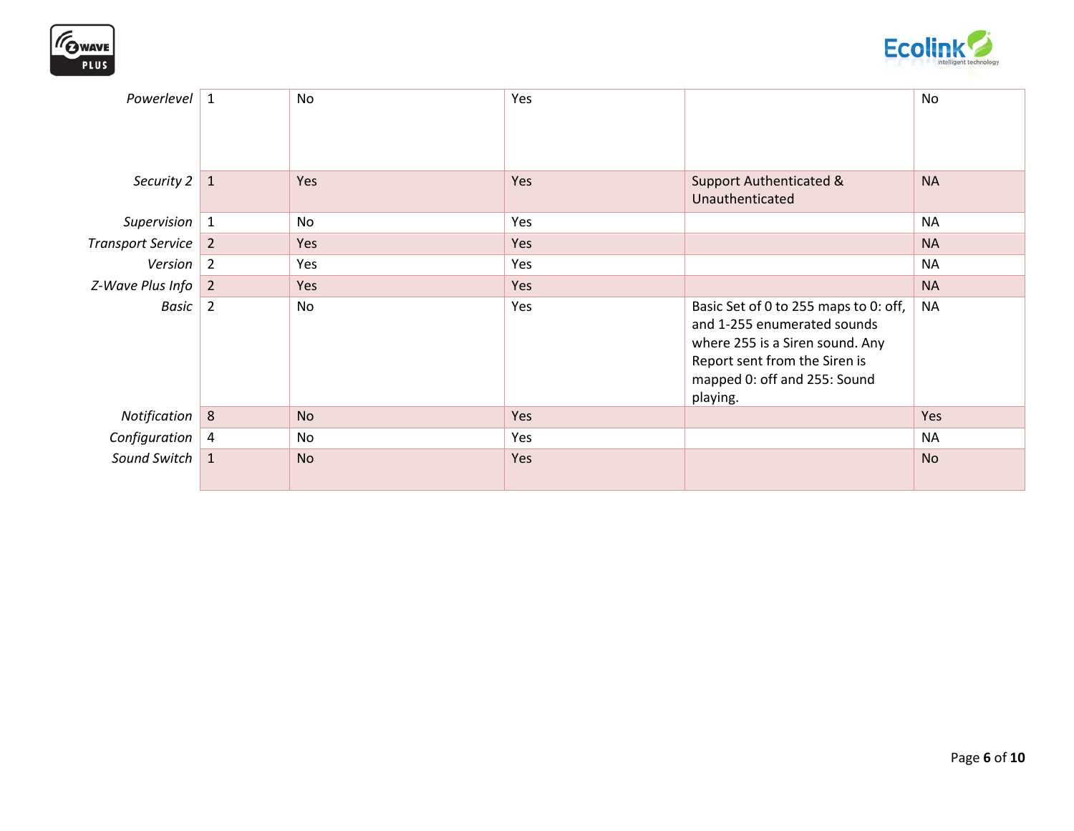



| Powerlevel            | $\mathbf{1}$   | No        | Yes |                                                                                                                                                                                      | No        |
|-----------------------|----------------|-----------|-----|--------------------------------------------------------------------------------------------------------------------------------------------------------------------------------------|-----------|
| Security $2 \mid 1$   |                | Yes       | Yes | <b>Support Authenticated &amp;</b><br>Unauthenticated                                                                                                                                | <b>NA</b> |
| Supervision $\vert$ 1 |                | No        | Yes |                                                                                                                                                                                      | <b>NA</b> |
| Transport Service 2   |                | Yes       | Yes |                                                                                                                                                                                      | <b>NA</b> |
| Version 2             |                | Yes       | Yes |                                                                                                                                                                                      | <b>NA</b> |
| $Z-Wave Plus Info$ 2  |                | Yes       | Yes |                                                                                                                                                                                      | <b>NA</b> |
| Basic                 | $\overline{2}$ | No        | Yes | Basic Set of 0 to 255 maps to 0: off,<br>and 1-255 enumerated sounds<br>where 255 is a Siren sound. Any<br>Report sent from the Siren is<br>mapped 0: off and 255: Sound<br>playing. | <b>NA</b> |
| Notification          | 8              | <b>No</b> | Yes |                                                                                                                                                                                      | Yes       |
| Configuration $ 4 $   |                | <b>No</b> | Yes |                                                                                                                                                                                      | <b>NA</b> |
| Sound Switch 1        |                | <b>No</b> | Yes |                                                                                                                                                                                      | <b>No</b> |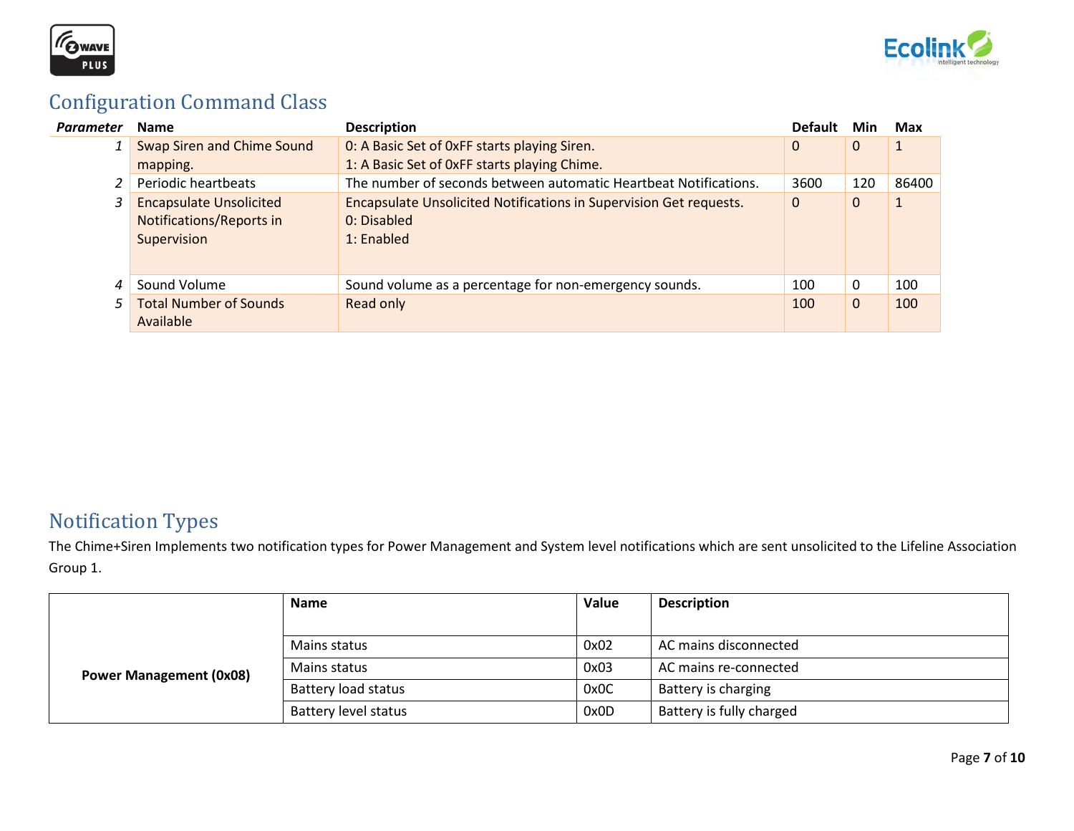



# Configuration Command Class

| Parameter | <b>Name</b>                       | <b>Description</b>                                                 | <b>Default</b> | Min          | Max   |
|-----------|-----------------------------------|--------------------------------------------------------------------|----------------|--------------|-------|
|           | <b>Swap Siren and Chime Sound</b> | 0: A Basic Set of 0xFF starts playing Siren.                       | $\mathbf 0$    | $\mathbf{0}$ |       |
|           | mapping.                          | 1: A Basic Set of OxFF starts playing Chime.                       |                |              |       |
|           | Periodic heartbeats               | The number of seconds between automatic Heartbeat Notifications.   | 3600           | 120          | 86400 |
|           | <b>Encapsulate Unsolicited</b>    | Encapsulate Unsolicited Notifications in Supervision Get requests. | $\mathbf 0$    | $\mathbf{0}$ | 1     |
|           | <b>Notifications/Reports in</b>   | 0: Disabled                                                        |                |              |       |
|           | Supervision                       | $1:$ Enabled                                                       |                |              |       |
|           |                                   |                                                                    |                |              |       |
|           | Sound Volume                      | Sound volume as a percentage for non-emergency sounds.             | 100            | 0            | 100   |
|           | <b>Total Number of Sounds</b>     | Read only                                                          | 100            | $\mathbf{0}$ | 100   |
|           | Available                         |                                                                    |                |              |       |

# Notification Types

The Chime+Siren Implements two notification types for Power Management and System level notifications which are sent unsolicited to the Lifeline Association Group 1.

|                                | <b>Name</b>                 | Value | <b>Description</b>       |
|--------------------------------|-----------------------------|-------|--------------------------|
|                                |                             |       |                          |
| <b>Power Management (0x08)</b> | Mains status                | 0x02  | AC mains disconnected    |
|                                | Mains status                | 0x03  | AC mains re-connected    |
|                                | Battery load status         | 0x0C  | Battery is charging      |
|                                | <b>Battery level status</b> | 0x0D  | Battery is fully charged |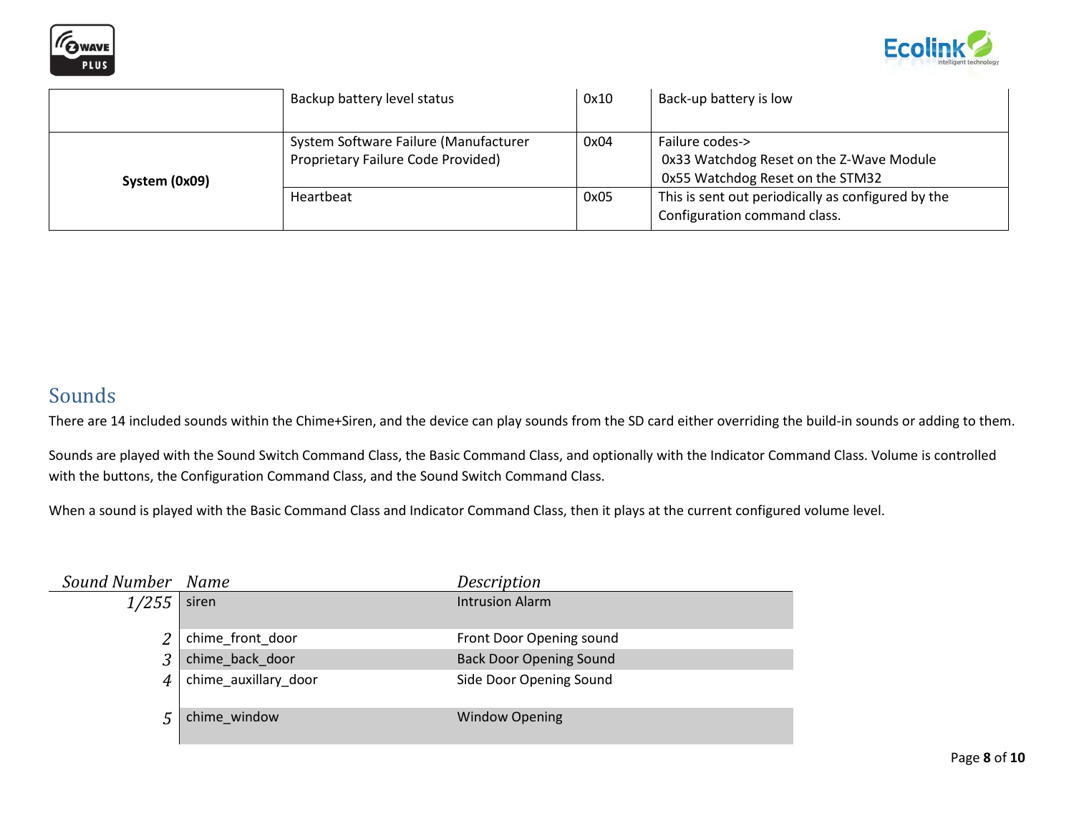



|               | Backup battery level status                                                 | 0x10 | Back-up battery is low                                                                          |
|---------------|-----------------------------------------------------------------------------|------|-------------------------------------------------------------------------------------------------|
| System (0x09) | System Software Failure (Manufacturer<br>Proprietary Failure Code Provided) | 0x04 | Failure codes-><br>0x33 Watchdog Reset on the Z-Wave Module<br>0x55 Watchdog Reset on the STM32 |
|               | Heartbeat                                                                   | 0x05 | This is sent out periodically as configured by the<br>Configuration command class.              |

### Sounds

There are 14 included sounds within the Chime+Siren, and the device can play sounds from the SD card either overriding the build-in sounds or adding to them.

Sounds are played with the Sound Switch Command Class, the Basic Command Class, and optionally with the Indicator Command Class. Volume is controlled with the buttons, the Configuration Command Class, and the Sound Switch Command Class.

When a sound is played with the Basic Command Class and Indicator Command Class, then it plays at the current configured volume level.

| Sound Number | Name                 | Description                    |
|--------------|----------------------|--------------------------------|
| 1/255        | siren                | <b>Intrusion Alarm</b>         |
|              | chime_front_door     | Front Door Opening sound       |
| 3            | chime_back_door      | <b>Back Door Opening Sound</b> |
| 4            | chime_auxillary_door | Side Door Opening Sound        |
|              | chime window         | <b>Window Opening</b>          |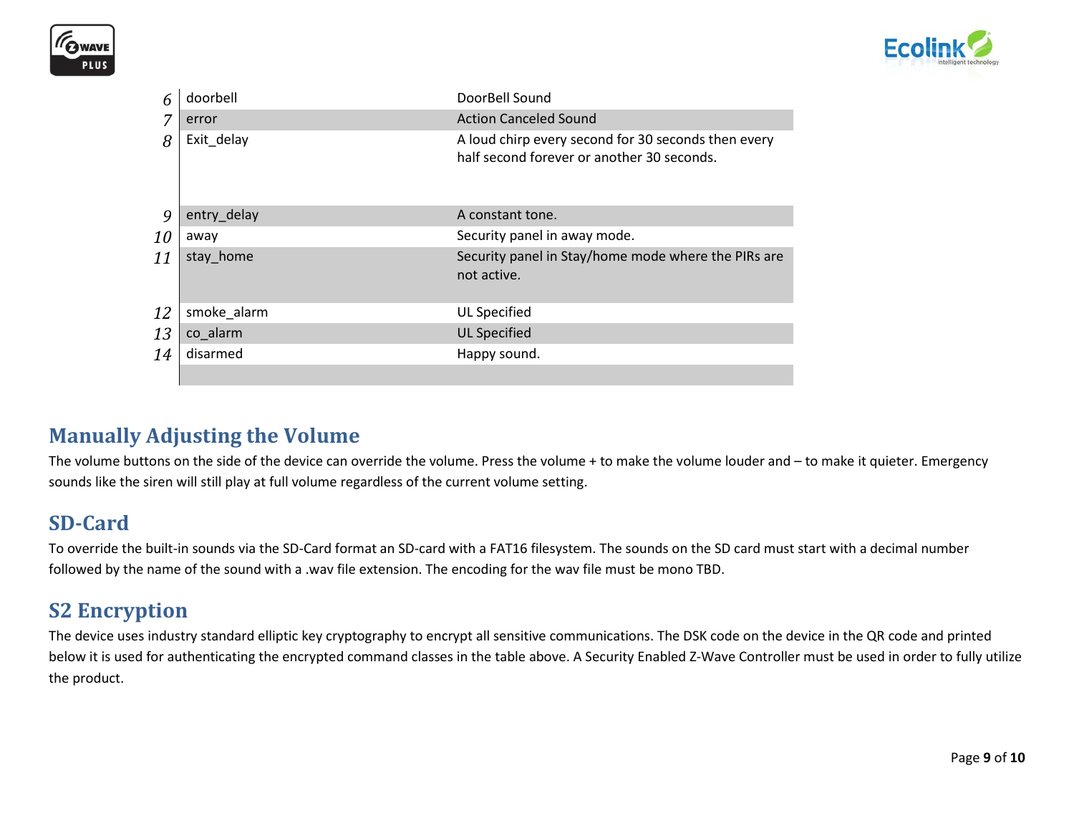



| 6         | doorbell    | DoorBell Sound                                                                                    |
|-----------|-------------|---------------------------------------------------------------------------------------------------|
| 7         | error       | <b>Action Canceled Sound</b>                                                                      |
| 8         | Exit delay  | A loud chirp every second for 30 seconds then every<br>half second forever or another 30 seconds. |
| 9         | entry_delay | A constant tone.                                                                                  |
| <i>10</i> | away        | Security panel in away mode.                                                                      |
| 11        | stay_home   | Security panel in Stay/home mode where the PIRs are<br>not active.                                |
| 12        | smoke_alarm | UL Specified                                                                                      |
| 13        | co alarm    | <b>UL Specified</b>                                                                               |
| 14        | disarmed    | Happy sound.                                                                                      |
|           |             |                                                                                                   |

### **Manually Adjusting the Volume**

The volume buttons on the side of the device can override the volume. Press the volume + to make the volume louder and - to make it quieter. Emergency sounds like the siren will still play at full volume regardless of the current volume setting.

## **SD-Card**

To override the built-in sounds via the SD-Card format an SD-card with a FAT16 filesystem. The sounds on the SD card must start with a decimal number followed by the name of the sound with a .wav file extension. The encoding for the wav file must be mono TBD.

# **S2 Encryption**

The device uses industry standard elliptic key cryptography to encrypt all sensitive communications. The DSK code on the device in the QR code and printed below it is used for authenticating the encrypted command classes in the table above. A Security Enabled Z-Wave Controller must be used in order to fully utilize the product.